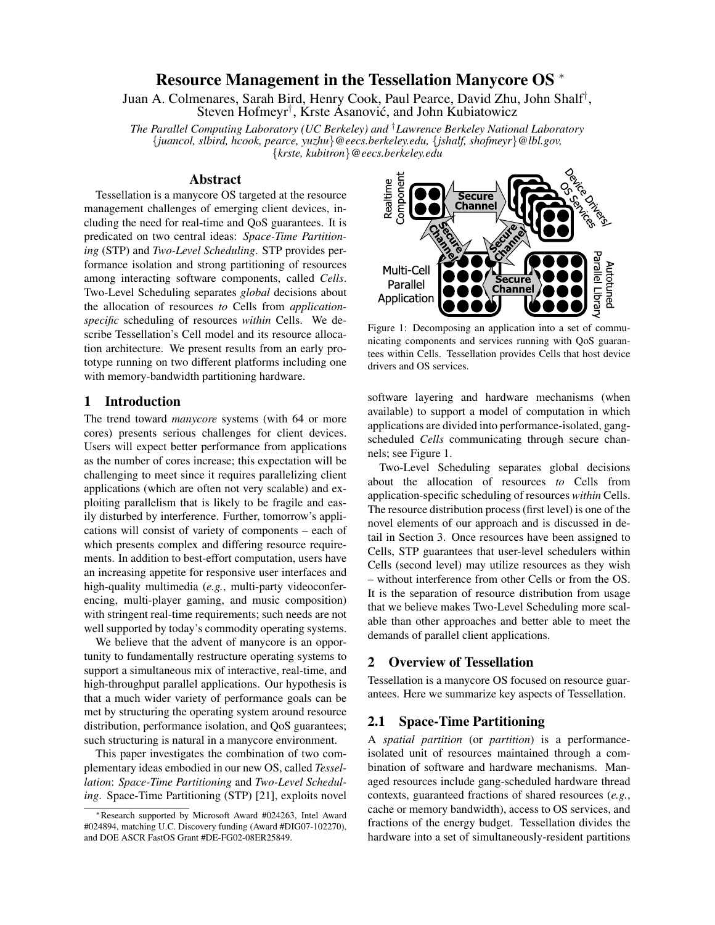# Resource Management in the Tessellation Manycore OS <sup>∗</sup>

Juan A. Colmenares, Sarah Bird, Henry Cook, Paul Pearce, David Zhu, John Shalf† , Steven Hofmeyr<sup>†</sup>, Krste Asanović, and John Kubiatowicz

*The Parallel Computing Laboratory (UC Berkeley) and* †*Lawrence Berkeley National Laboratory* {*juancol, slbird, hcook, pearce, yuzhu*}*@eecs.berkeley.edu,* {*jshalf, shofmeyr*}*@lbl.gov,* {*krste, kubitron*}*@eecs.berkeley.edu*

## Abstract

Tessellation is a manycore OS targeted at the resource management challenges of emerging client devices, including the need for real-time and QoS guarantees. It is predicated on two central ideas: *Space-Time Partitioning* (STP) and *Two-Level Scheduling*. STP provides performance isolation and strong partitioning of resources among interacting software components, called *Cells*. Two-Level Scheduling separates *global* decisions about the allocation of resources *to* Cells from *applicationspecific* scheduling of resources *within* Cells. We describe Tessellation's Cell model and its resource allocation architecture. We present results from an early prototype running on two different platforms including one with memory-bandwidth partitioning hardware.

## 1 Introduction

The trend toward *manycore* systems (with 64 or more cores) presents serious challenges for client devices. Users will expect better performance from applications as the number of cores increase; this expectation will be challenging to meet since it requires parallelizing client applications (which are often not very scalable) and exploiting parallelism that is likely to be fragile and easily disturbed by interference. Further, tomorrow's applications will consist of variety of components – each of which presents complex and differing resource requirements. In addition to best-effort computation, users have an increasing appetite for responsive user interfaces and high-quality multimedia (*e.g.*, multi-party videoconferencing, multi-player gaming, and music composition) with stringent real-time requirements; such needs are not well supported by today's commodity operating systems.

We believe that the advent of manycore is an opportunity to fundamentally restructure operating systems to support a simultaneous mix of interactive, real-time, and high-throughput parallel applications. Our hypothesis is that a much wider variety of performance goals can be met by structuring the operating system around resource distribution, performance isolation, and QoS guarantees; such structuring is natural in a manycore environment.

This paper investigates the combination of two complementary ideas embodied in our new OS, called *Tessellation*: *Space-Time Partitioning* and *Two-Level Scheduling*. Space-Time Partitioning (STP) [21], exploits novel



Figure 1: Decomposing an application into a set of communicating components and services running with QoS guarantees within Cells. Tessellation provides Cells that host device drivers and OS services.

software layering and hardware mechanisms (when available) to support a model of computation in which applications are divided into performance-isolated, gangscheduled *Cells* communicating through secure channels; see Figure 1.

Two-Level Scheduling separates global decisions about the allocation of resources *to* Cells from application-specific scheduling of resources *within* Cells. The resource distribution process (first level) is one of the novel elements of our approach and is discussed in detail in Section 3. Once resources have been assigned to Cells, STP guarantees that user-level schedulers within Cells (second level) may utilize resources as they wish – without interference from other Cells or from the OS. It is the separation of resource distribution from usage that we believe makes Two-Level Scheduling more scalable than other approaches and better able to meet the demands of parallel client applications.

#### 2 Overview of Tessellation

Tessellation is a manycore OS focused on resource guarantees. Here we summarize key aspects of Tessellation.

#### 2.1 Space-Time Partitioning

A *spatial partition* (or *partition*) is a performanceisolated unit of resources maintained through a combination of software and hardware mechanisms. Managed resources include gang-scheduled hardware thread contexts, guaranteed fractions of shared resources (*e.g.*, cache or memory bandwidth), access to OS services, and fractions of the energy budget. Tessellation divides the hardware into a set of simultaneously-resident partitions

<sup>∗</sup>Research supported by Microsoft Award #024263, Intel Award #024894, matching U.C. Discovery funding (Award #DIG07-102270), and DOE ASCR FastOS Grant #DE-FG02-08ER25849.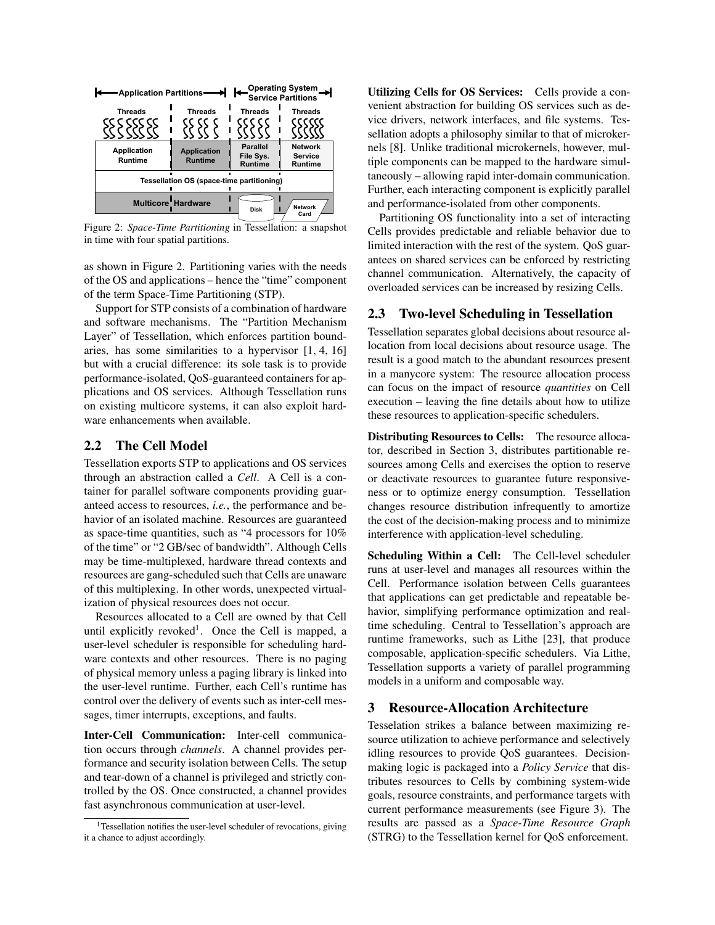| <b>Application Partitions</b>                                      | Operating System<br><b>Service Partitions</b> |                                                |                                             |  |
|--------------------------------------------------------------------|-----------------------------------------------|------------------------------------------------|---------------------------------------------|--|
| <b>Threads</b>                                                     | <b>Threads</b>                                | <b>Threads</b>                                 | <b>Threads</b>                              |  |
| Application<br>Runtime                                             | <b>Application</b><br><b>Runtime</b>          | <b>Parallel</b><br>File Sys.<br><b>Runtime</b> | <b>Network</b><br><b>Service</b><br>Runtime |  |
| Tessellation OS (space-time partitioning)                          |                                               |                                                |                                             |  |
| <b>Multicore Hardware</b><br><b>Network</b><br><b>Disk</b><br>Card |                                               |                                                |                                             |  |

Figure 2: *Space-Time Partitioning* in Tessellation: a snapshot in time with four spatial partitions.

as shown in Figure 2. Partitioning varies with the needs of the OS and applications – hence the "time" component of the term Space-Time Partitioning (STP).

Support for STP consists of a combination of hardware and software mechanisms. The "Partition Mechanism Layer" of Tessellation, which enforces partition boundaries, has some similarities to a hypervisor [1, 4, 16] but with a crucial difference: its sole task is to provide performance-isolated, QoS-guaranteed containers for applications and OS services. Although Tessellation runs on existing multicore systems, it can also exploit hardware enhancements when available.

## 2.2 The Cell Model

Tessellation exports STP to applications and OS services through an abstraction called a *Cell*. A Cell is a container for parallel software components providing guaranteed access to resources, *i.e.*, the performance and behavior of an isolated machine. Resources are guaranteed as space-time quantities, such as "4 processors for 10% of the time" or "2 GB/sec of bandwidth". Although Cells may be time-multiplexed, hardware thread contexts and resources are gang-scheduled such that Cells are unaware of this multiplexing. In other words, unexpected virtualization of physical resources does not occur.

Resources allocated to a Cell are owned by that Cell until explicitly revoked<sup>1</sup>. Once the Cell is mapped, a user-level scheduler is responsible for scheduling hardware contexts and other resources. There is no paging of physical memory unless a paging library is linked into the user-level runtime. Further, each Cell's runtime has control over the delivery of events such as inter-cell messages, timer interrupts, exceptions, and faults.

Inter-Cell Communication: Inter-cell communication occurs through *channels*. A channel provides performance and security isolation between Cells. The setup and tear-down of a channel is privileged and strictly controlled by the OS. Once constructed, a channel provides fast asynchronous communication at user-level.

Utilizing Cells for OS Services: Cells provide a convenient abstraction for building OS services such as device drivers, network interfaces, and file systems. Tessellation adopts a philosophy similar to that of microkernels [8]. Unlike traditional microkernels, however, multiple components can be mapped to the hardware simultaneously – allowing rapid inter-domain communication. Further, each interacting component is explicitly parallel and performance-isolated from other components.

Partitioning OS functionality into a set of interacting Cells provides predictable and reliable behavior due to limited interaction with the rest of the system. QoS guarantees on shared services can be enforced by restricting channel communication. Alternatively, the capacity of overloaded services can be increased by resizing Cells.

## 2.3 Two-level Scheduling in Tessellation

Tessellation separates global decisions about resource allocation from local decisions about resource usage. The result is a good match to the abundant resources present in a manycore system: The resource allocation process can focus on the impact of resource *quantities* on Cell execution – leaving the fine details about how to utilize these resources to application-specific schedulers.

Distributing Resources to Cells: The resource allocator, described in Section 3, distributes partitionable resources among Cells and exercises the option to reserve or deactivate resources to guarantee future responsiveness or to optimize energy consumption. Tessellation changes resource distribution infrequently to amortize the cost of the decision-making process and to minimize interference with application-level scheduling.

Scheduling Within a Cell: The Cell-level scheduler runs at user-level and manages all resources within the Cell. Performance isolation between Cells guarantees that applications can get predictable and repeatable behavior, simplifying performance optimization and realtime scheduling. Central to Tessellation's approach are runtime frameworks, such as Lithe [23], that produce composable, application-specific schedulers. Via Lithe, Tessellation supports a variety of parallel programming models in a uniform and composable way.

### 3 Resource-Allocation Architecture

Tesselation strikes a balance between maximizing resource utilization to achieve performance and selectively idling resources to provide QoS guarantees. Decisionmaking logic is packaged into a *Policy Service* that distributes resources to Cells by combining system-wide goals, resource constraints, and performance targets with current performance measurements (see Figure 3). The results are passed as a *Space-Time Resource Graph* (STRG) to the Tessellation kernel for QoS enforcement.

 $1$ Tessellation notifies the user-level scheduler of revocations, giving it a chance to adjust accordingly.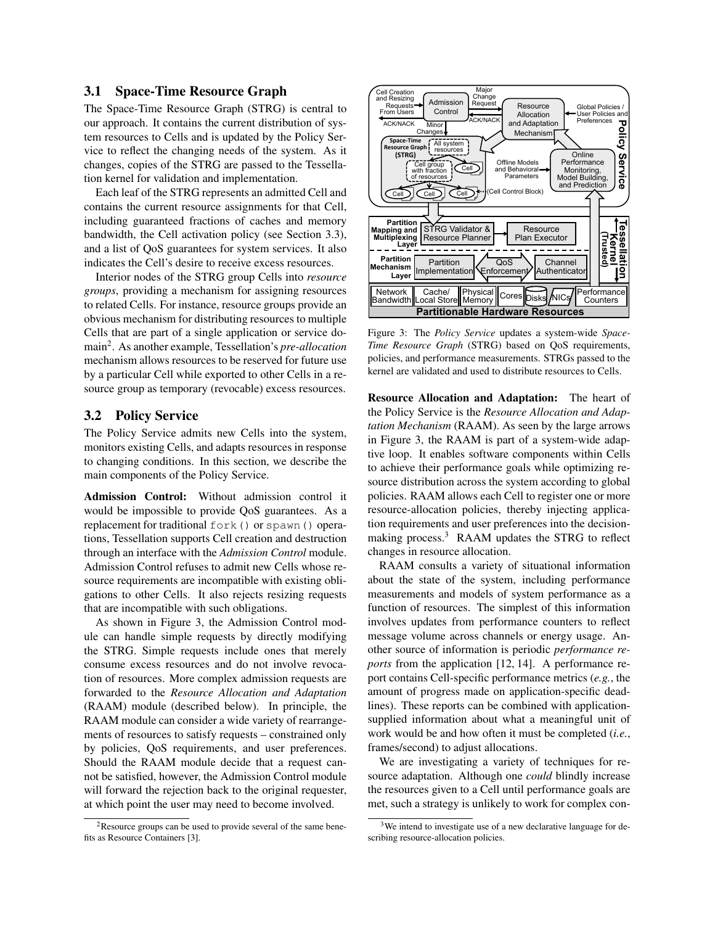#### 3.1 Space-Time Resource Graph

The Space-Time Resource Graph (STRG) is central to our approach. It contains the current distribution of system resources to Cells and is updated by the Policy Service to reflect the changing needs of the system. As it changes, copies of the STRG are passed to the Tessellation kernel for validation and implementation.

Each leaf of the STRG represents an admitted Cell and contains the current resource assignments for that Cell, including guaranteed fractions of caches and memory bandwidth, the Cell activation policy (see Section 3.3), and a list of QoS guarantees for system services. It also indicates the Cell's desire to receive excess resources.

Interior nodes of the STRG group Cells into *resource groups*, providing a mechanism for assigning resources to related Cells. For instance, resource groups provide an obvious mechanism for distributing resources to multiple Cells that are part of a single application or service domain<sup>2</sup> . As another example, Tessellation's *pre-allocation* mechanism allows resources to be reserved for future use by a particular Cell while exported to other Cells in a resource group as temporary (revocable) excess resources.

#### 3.2 Policy Service

The Policy Service admits new Cells into the system, monitors existing Cells, and adapts resources in response to changing conditions. In this section, we describe the main components of the Policy Service.

Admission Control: Without admission control it would be impossible to provide QoS guarantees. As a replacement for traditional fork() or spawn() operations, Tessellation supports Cell creation and destruction through an interface with the *Admission Control* module. Admission Control refuses to admit new Cells whose resource requirements are incompatible with existing obligations to other Cells. It also rejects resizing requests that are incompatible with such obligations.

As shown in Figure 3, the Admission Control module can handle simple requests by directly modifying the STRG. Simple requests include ones that merely consume excess resources and do not involve revocation of resources. More complex admission requests are forwarded to the *Resource Allocation and Adaptation* (RAAM) module (described below). In principle, the RAAM module can consider a wide variety of rearrangements of resources to satisfy requests – constrained only by policies, QoS requirements, and user preferences. Should the RAAM module decide that a request cannot be satisfied, however, the Admission Control module will forward the rejection back to the original requester, at which point the user may need to become involved.





Figure 3: The *Policy Service* updates a system-wide *Space-Time Resource Graph* (STRG) based on QoS requirements, policies, and performance measurements. STRGs passed to the kernel are validated and used to distribute resources to Cells.

Resource Allocation and Adaptation: The heart of the Policy Service is the *Resource Allocation and Adaptation Mechanism* (RAAM). As seen by the large arrows in Figure 3, the RAAM is part of a system-wide adaptive loop. It enables software components within Cells to achieve their performance goals while optimizing resource distribution across the system according to global policies. RAAM allows each Cell to register one or more resource-allocation policies, thereby injecting application requirements and user preferences into the decisionmaking process.<sup>3</sup> RAAM updates the STRG to reflect changes in resource allocation.

RAAM consults a variety of situational information about the state of the system, including performance measurements and models of system performance as a function of resources. The simplest of this information involves updates from performance counters to reflect message volume across channels or energy usage. Another source of information is periodic *performance reports* from the application [12, 14]. A performance report contains Cell-specific performance metrics (*e.g.*, the amount of progress made on application-specific deadlines). These reports can be combined with applicationsupplied information about what a meaningful unit of work would be and how often it must be completed (*i.e.*, frames/second) to adjust allocations.

We are investigating a variety of techniques for resource adaptation. Although one *could* blindly increase the resources given to a Cell until performance goals are met, such a strategy is unlikely to work for complex con-

<sup>&</sup>lt;sup>3</sup>We intend to investigate use of a new declarative language for describing resource-allocation policies.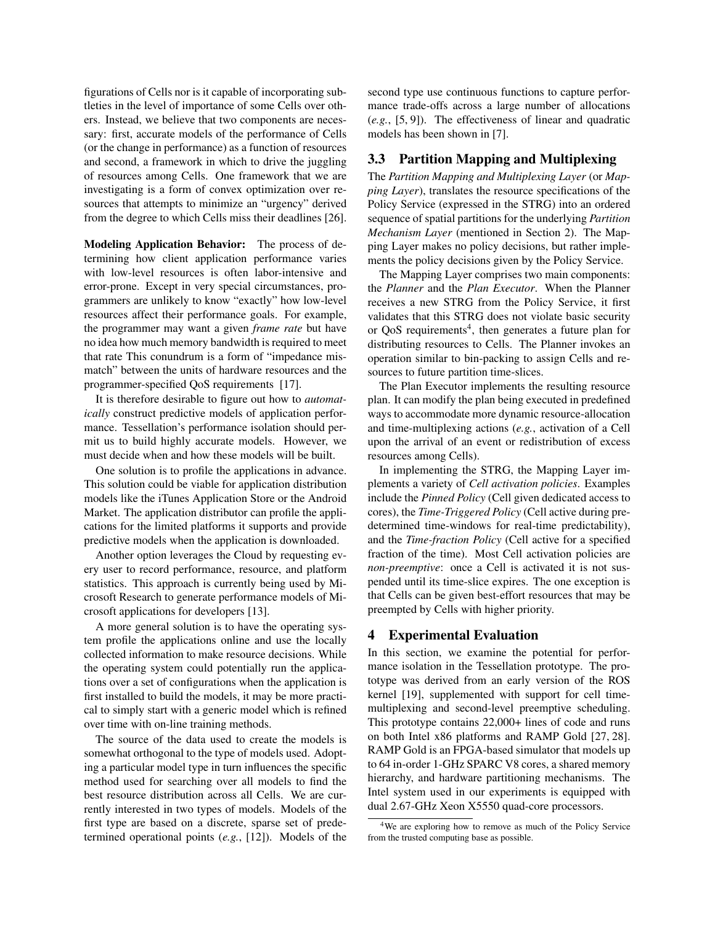figurations of Cells nor is it capable of incorporating subtleties in the level of importance of some Cells over others. Instead, we believe that two components are necessary: first, accurate models of the performance of Cells (or the change in performance) as a function of resources and second, a framework in which to drive the juggling of resources among Cells. One framework that we are investigating is a form of convex optimization over resources that attempts to minimize an "urgency" derived from the degree to which Cells miss their deadlines [26].

Modeling Application Behavior: The process of determining how client application performance varies with low-level resources is often labor-intensive and error-prone. Except in very special circumstances, programmers are unlikely to know "exactly" how low-level resources affect their performance goals. For example, the programmer may want a given *frame rate* but have no idea how much memory bandwidth is required to meet that rate This conundrum is a form of "impedance mismatch" between the units of hardware resources and the programmer-specified QoS requirements [17].

It is therefore desirable to figure out how to *automatically* construct predictive models of application performance. Tessellation's performance isolation should permit us to build highly accurate models. However, we must decide when and how these models will be built.

One solution is to profile the applications in advance. This solution could be viable for application distribution models like the iTunes Application Store or the Android Market. The application distributor can profile the applications for the limited platforms it supports and provide predictive models when the application is downloaded.

Another option leverages the Cloud by requesting every user to record performance, resource, and platform statistics. This approach is currently being used by Microsoft Research to generate performance models of Microsoft applications for developers [13].

A more general solution is to have the operating system profile the applications online and use the locally collected information to make resource decisions. While the operating system could potentially run the applications over a set of configurations when the application is first installed to build the models, it may be more practical to simply start with a generic model which is refined over time with on-line training methods.

The source of the data used to create the models is somewhat orthogonal to the type of models used. Adopting a particular model type in turn influences the specific method used for searching over all models to find the best resource distribution across all Cells. We are currently interested in two types of models. Models of the first type are based on a discrete, sparse set of predetermined operational points (*e.g.*, [12]). Models of the second type use continuous functions to capture performance trade-offs across a large number of allocations (*e.g.*, [5, 9]). The effectiveness of linear and quadratic models has been shown in [7].

## 3.3 Partition Mapping and Multiplexing

The *Partition Mapping and Multiplexing Layer* (or *Mapping Layer*), translates the resource specifications of the Policy Service (expressed in the STRG) into an ordered sequence of spatial partitions for the underlying *Partition Mechanism Layer* (mentioned in Section 2). The Mapping Layer makes no policy decisions, but rather implements the policy decisions given by the Policy Service.

The Mapping Layer comprises two main components: the *Planner* and the *Plan Executor*. When the Planner receives a new STRG from the Policy Service, it first validates that this STRG does not violate basic security or QoS requirements<sup>4</sup>, then generates a future plan for distributing resources to Cells. The Planner invokes an operation similar to bin-packing to assign Cells and resources to future partition time-slices.

The Plan Executor implements the resulting resource plan. It can modify the plan being executed in predefined ways to accommodate more dynamic resource-allocation and time-multiplexing actions (*e.g.*, activation of a Cell upon the arrival of an event or redistribution of excess resources among Cells).

In implementing the STRG, the Mapping Layer implements a variety of *Cell activation policies*. Examples include the *Pinned Policy* (Cell given dedicated access to cores), the *Time-Triggered Policy* (Cell active during predetermined time-windows for real-time predictability), and the *Time-fraction Policy* (Cell active for a specified fraction of the time). Most Cell activation policies are *non-preemptive*: once a Cell is activated it is not suspended until its time-slice expires. The one exception is that Cells can be given best-effort resources that may be preempted by Cells with higher priority.

#### 4 Experimental Evaluation

In this section, we examine the potential for performance isolation in the Tessellation prototype. The prototype was derived from an early version of the ROS kernel [19], supplemented with support for cell timemultiplexing and second-level preemptive scheduling. This prototype contains 22,000+ lines of code and runs on both Intel x86 platforms and RAMP Gold [27, 28]. RAMP Gold is an FPGA-based simulator that models up to 64 in-order 1-GHz SPARC V8 cores, a shared memory hierarchy, and hardware partitioning mechanisms. The Intel system used in our experiments is equipped with dual 2.67-GHz Xeon X5550 quad-core processors.

<sup>&</sup>lt;sup>4</sup>We are exploring how to remove as much of the Policy Service from the trusted computing base as possible.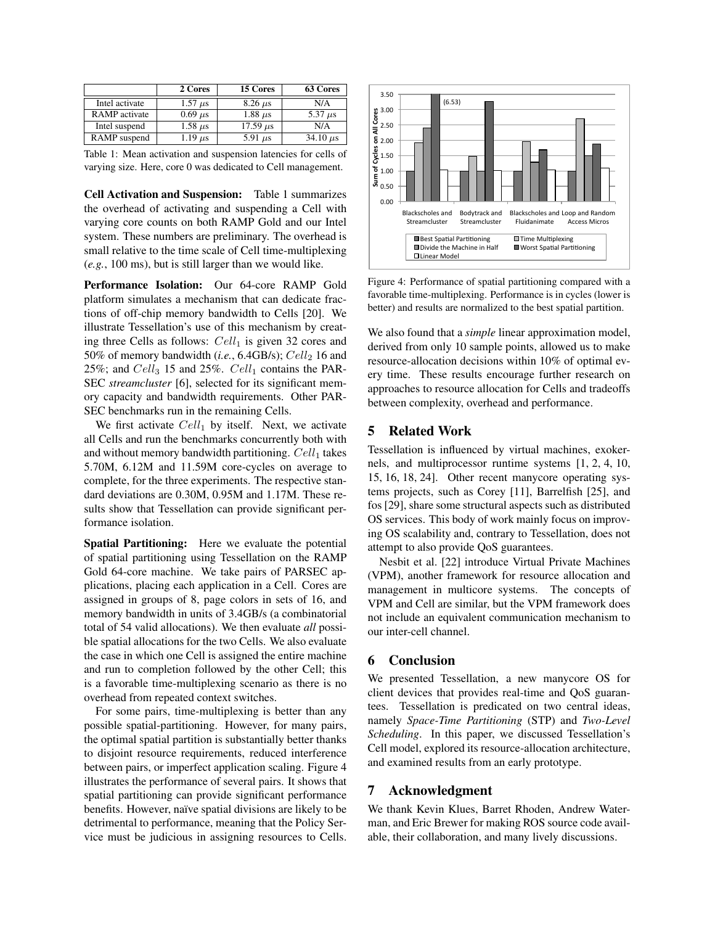|                      | 2 Cores        | 15 Cores                    | 63 Cores      |
|----------------------|----------------|-----------------------------|---------------|
| Intel activate       | $1.57 \mu s$   | $8.26 \mu s$                | N/A           |
| <b>RAMP</b> activate | $0.69 \mu s$   | $1.88 \mu s$                | 5.37 $\mu$ s  |
| Intel suspend        | $1.58 \ \mu s$ | $17.59 \text{ }\mu\text{s}$ | N/A           |
| RAMP suspend         | $1.19 \ \mu s$ | 5.91 $\mu$ s                | 34.10 $\mu$ s |

Table 1: Mean activation and suspension latencies for cells of varying size. Here, core 0 was dedicated to Cell management.

Cell Activation and Suspension: Table 1 summarizes the overhead of activating and suspending a Cell with varying core counts on both RAMP Gold and our Intel system. These numbers are preliminary. The overhead is small relative to the time scale of Cell time-multiplexing (*e.g.*, 100 ms), but is still larger than we would like.

Performance Isolation: Our 64-core RAMP Gold platform simulates a mechanism that can dedicate fractions of off-chip memory bandwidth to Cells [20]. We illustrate Tessellation's use of this mechanism by creating three Cells as follows:  $Cell_1$  is given 32 cores and 50% of memory bandwidth  $(i.e., 6.4GB/s);$   $Cell_2$  16 and 25%; and  $Cell_3$  15 and 25%.  $Cell_1$  contains the PAR-SEC *streamcluster* [6], selected for its significant memory capacity and bandwidth requirements. Other PAR-SEC benchmarks run in the remaining Cells.

We first activate  $Cell_1$  by itself. Next, we activate all Cells and run the benchmarks concurrently both with and without memory bandwidth partitioning.  $Cell_1$  takes 5.70M, 6.12M and 11.59M core-cycles on average to complete, for the three experiments. The respective standard deviations are 0.30M, 0.95M and 1.17M. These results show that Tessellation can provide significant performance isolation.

Spatial Partitioning: Here we evaluate the potential of spatial partitioning using Tessellation on the RAMP Gold 64-core machine. We take pairs of PARSEC applications, placing each application in a Cell. Cores are assigned in groups of 8, page colors in sets of 16, and memory bandwidth in units of 3.4GB/s (a combinatorial total of 54 valid allocations). We then evaluate *all* possible spatial allocations for the two Cells. We also evaluate the case in which one Cell is assigned the entire machine and run to completion followed by the other Cell; this is a favorable time-multiplexing scenario as there is no overhead from repeated context switches.

For some pairs, time-multiplexing is better than any possible spatial-partitioning. However, for many pairs, the optimal spatial partition is substantially better thanks to disjoint resource requirements, reduced interference between pairs, or imperfect application scaling. Figure 4 illustrates the performance of several pairs. It shows that spatial partitioning can provide significant performance benefits. However, naïve spatial divisions are likely to be detrimental to performance, meaning that the Policy Service must be judicious in assigning resources to Cells.



Figure 4: Performance of spatial partitioning compared with a favorable time-multiplexing. Performance is in cycles (lower is better) and results are normalized to the best spatial partition.

We also found that a *simple* linear approximation model, derived from only 10 sample points, allowed us to make resource-allocation decisions within 10% of optimal every time. These results encourage further research on approaches to resource allocation for Cells and tradeoffs between complexity, overhead and performance.

### 5 Related Work

Tessellation is influenced by virtual machines, exokernels, and multiprocessor runtime systems [1, 2, 4, 10, 15, 16, 18, 24]. Other recent manycore operating systems projects, such as Corey [11], Barrelfish [25], and fos [29], share some structural aspects such as distributed OS services. This body of work mainly focus on improving OS scalability and, contrary to Tessellation, does not attempt to also provide QoS guarantees.

Nesbit et al. [22] introduce Virtual Private Machines (VPM), another framework for resource allocation and management in multicore systems. The concepts of VPM and Cell are similar, but the VPM framework does not include an equivalent communication mechanism to our inter-cell channel.

#### 6 Conclusion

We presented Tessellation, a new manycore OS for client devices that provides real-time and QoS guarantees. Tessellation is predicated on two central ideas, namely *Space-Time Partitioning* (STP) and *Two-Level Scheduling*. In this paper, we discussed Tessellation's Cell model, explored its resource-allocation architecture, and examined results from an early prototype.

## 7 Acknowledgment

We thank Kevin Klues, Barret Rhoden, Andrew Waterman, and Eric Brewer for making ROS source code available, their collaboration, and many lively discussions.